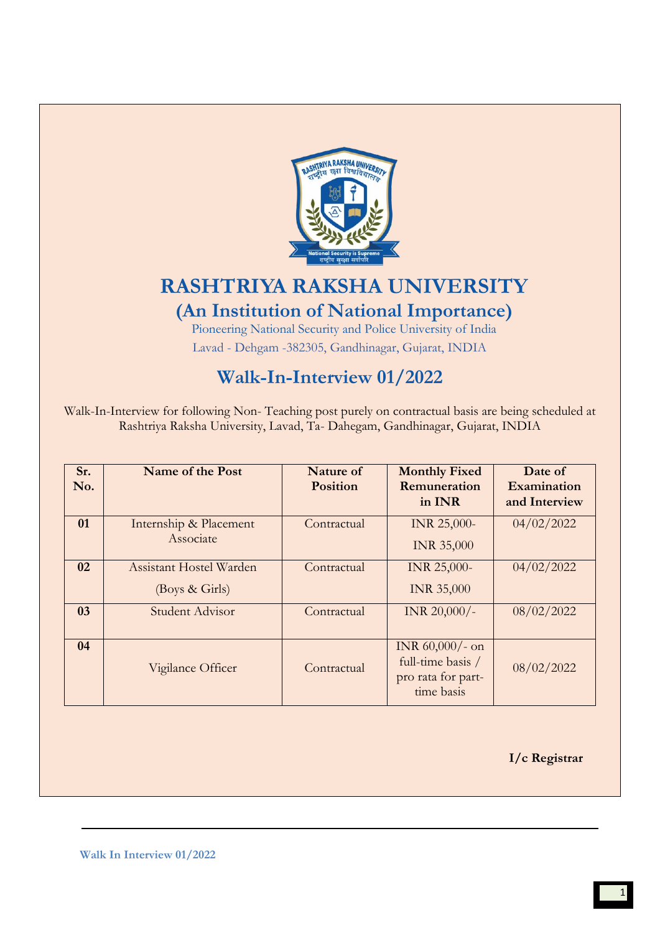

# **RASHTRIYA RAKSHA UNIVERSITY (An Institution of National Importance)**

Pioneering National Security and Police University of India Lavad - Dehgam -382305, Gandhinagar, Gujarat, INDIA

# **Walk-In-Interview 01/2022**

Walk-In-Interview for following Non- Teaching post purely on contractual basis are being scheduled at Rashtriya Raksha University, Lavad, Ta- Dahegam, Gandhinagar, Gujarat, INDIA

| Sr.<br>No. | Name of the Post                          | Nature of<br><b>Position</b> | <b>Monthly Fixed</b><br><b>Remuneration</b><br>in INR                       | Date of<br>Examination<br>and Interview |
|------------|-------------------------------------------|------------------------------|-----------------------------------------------------------------------------|-----------------------------------------|
| 01         | Internship & Placement<br>Associate       | Contractual                  | <b>INR 25,000-</b><br><b>INR 35,000</b>                                     | 04/02/2022                              |
| 02         | Assistant Hostel Warden<br>(Boys & Girls) | Contractual                  | INR 25,000-<br><b>INR 35,000</b>                                            | 04/02/2022                              |
| 03         | Student Advisor                           | Contractual                  | INR $20,000/$ -                                                             | 08/02/2022                              |
| 04         | Vigilance Officer                         | Contractual                  | INR $60,000/$ - on<br>full-time basis /<br>pro rata for part-<br>time basis | 08/02/2022                              |

 **I/c Registrar**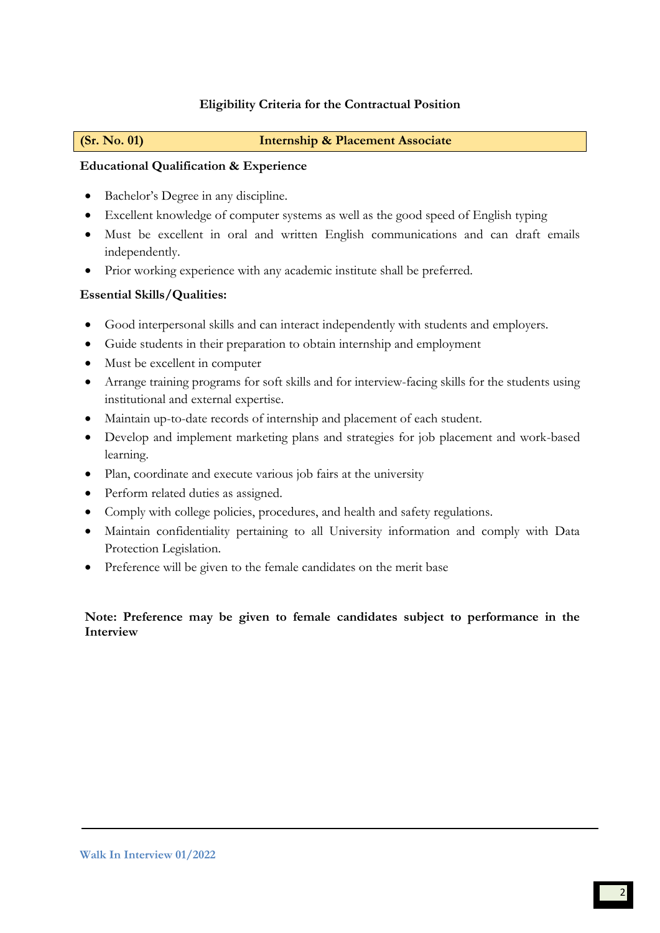# **Eligibility Criteria for the Contractual Position**

#### **(Sr. No. 01) Internship & Placement Associate**

## **Educational Qualification & Experience**

- Bachelor's Degree in any discipline.
- Excellent knowledge of computer systems as well as the good speed of English typing
- Must be excellent in oral and written English communications and can draft emails independently.
- Prior working experience with any academic institute shall be preferred.

# **Essential Skills/Qualities:**

- Good interpersonal skills and can interact independently with students and employers.
- Guide students in their preparation to obtain internship and employment
- Must be excellent in computer
- Arrange training programs for soft skills and for interview-facing skills for the students using institutional and external expertise.
- Maintain up-to-date records of internship and placement of each student.
- Develop and implement marketing plans and strategies for job placement and work-based learning.
- Plan, coordinate and execute various job fairs at the university
- Perform related duties as assigned.
- Comply with college policies, procedures, and health and safety regulations.
- Maintain confidentiality pertaining to all University information and comply with Data Protection Legislation.
- Preference will be given to the female candidates on the merit base

# **Note: Preference may be given to female candidates subject to performance in the Interview**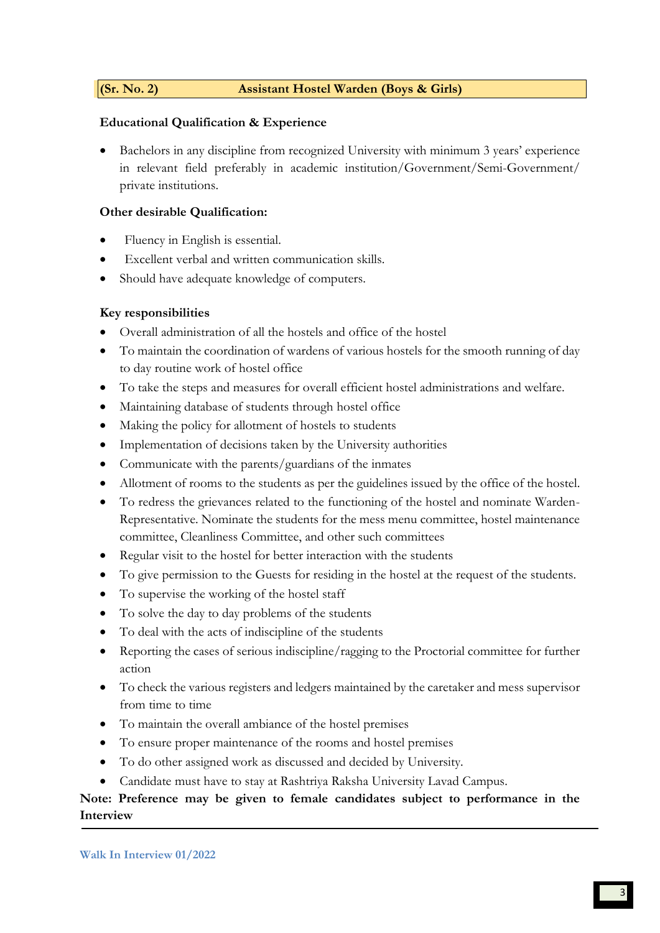### **(Sr. No. 2) Assistant Hostel Warden (Boys & Girls)**

### **Educational Qualification & Experience**

• Bachelors in any discipline from recognized University with minimum 3 years' experience in relevant field preferably in academic institution/Government/Semi-Government/ private institutions.

### **Other desirable Qualification:**

- Fluency in English is essential.
- Excellent verbal and written communication skills.
- Should have adequate knowledge of computers.

# **Key responsibilities**

- Overall administration of all the hostels and office of the hostel
- To maintain the coordination of wardens of various hostels for the smooth running of day to day routine work of hostel office
- To take the steps and measures for overall efficient hostel administrations and welfare.
- Maintaining database of students through hostel office
- Making the policy for allotment of hostels to students
- Implementation of decisions taken by the University authorities
- Communicate with the parents/guardians of the inmates
- Allotment of rooms to the students as per the guidelines issued by the office of the hostel.
- To redress the grievances related to the functioning of the hostel and nominate Warden-Representative. Nominate the students for the mess menu committee, hostel maintenance committee, Cleanliness Committee, and other such committees
- Regular visit to the hostel for better interaction with the students
- To give permission to the Guests for residing in the hostel at the request of the students.
- To supervise the working of the hostel staff
- To solve the day to day problems of the students
- To deal with the acts of indiscipline of the students
- Reporting the cases of serious indiscipline/ragging to the Proctorial committee for further action
- To check the various registers and ledgers maintained by the caretaker and mess supervisor from time to time
- To maintain the overall ambiance of the hostel premises
- To ensure proper maintenance of the rooms and hostel premises
- To do other assigned work as discussed and decided by University.
- Candidate must have to stay at Rashtriya Raksha University Lavad Campus.

# **Note: Preference may be given to female candidates subject to performance in the Interview**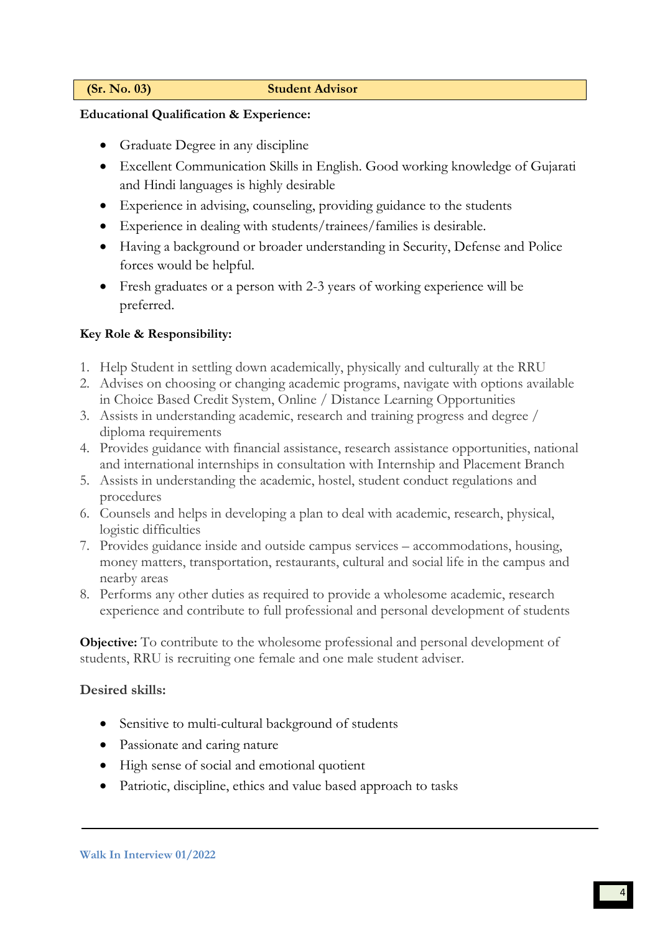#### **(Sr. No. 03) Student Advisor**

### **Educational Qualification & Experience:**

- Graduate Degree in any discipline
- Excellent Communication Skills in English. Good working knowledge of Gujarati and Hindi languages is highly desirable
- Experience in advising, counseling, providing guidance to the students
- Experience in dealing with students/trainees/families is desirable.
- Having a background or broader understanding in Security, Defense and Police forces would be helpful.
- Fresh graduates or a person with 2-3 years of working experience will be preferred.

# **Key Role & Responsibility:**

- 1. Help Student in settling down academically, physically and culturally at the RRU
- 2. Advises on choosing or changing academic programs, navigate with options available in Choice Based Credit System, Online / Distance Learning Opportunities
- 3. Assists in understanding academic, research and training progress and degree / diploma requirements
- 4. Provides guidance with financial assistance, research assistance opportunities, national and international internships in consultation with Internship and Placement Branch
- 5. Assists in understanding the academic, hostel, student conduct regulations and procedures
- 6. Counsels and helps in developing a plan to deal with academic, research, physical, logistic difficulties
- 7. Provides guidance inside and outside campus services accommodations, housing, money matters, transportation, restaurants, cultural and social life in the campus and nearby areas
- 8. Performs any other duties as required to provide a wholesome academic, research experience and contribute to full professional and personal development of students

**Objective:** To contribute to the wholesome professional and personal development of students, RRU is recruiting one female and one male student adviser.

# **Desired skills:**

- Sensitive to multi-cultural background of students
- Passionate and caring nature
- High sense of social and emotional quotient
- Patriotic, discipline, ethics and value based approach to tasks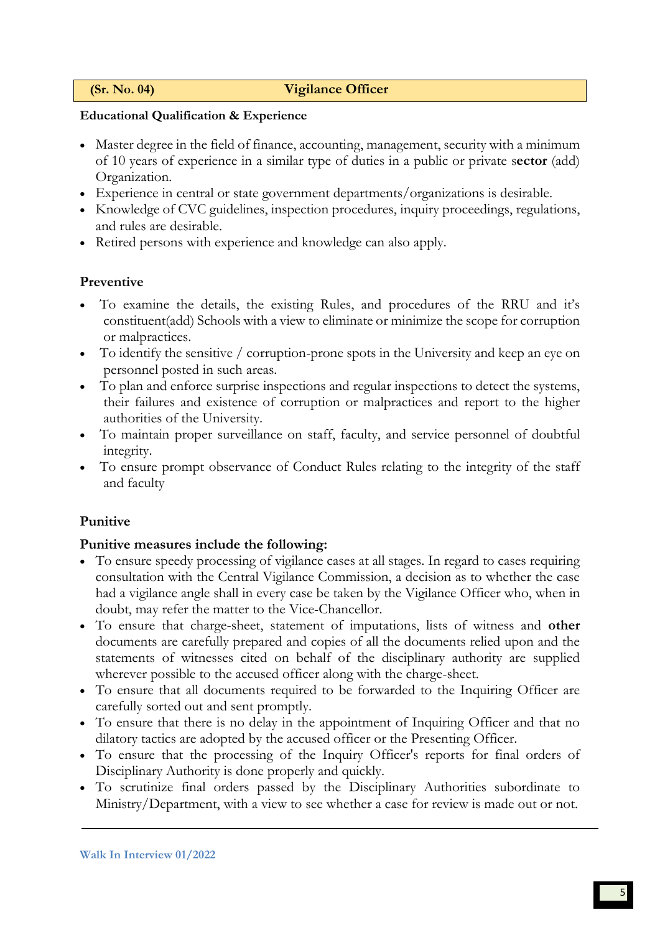# **(Sr. No. 04) Vigilance Officer**

# **Educational Qualification & Experience**

- Master degree in the field of finance, accounting, management, security with a minimum of 10 years of experience in a similar type of duties in a public or private s**ector** (add) Organization.
- Experience in central or state government departments/organizations is desirable.
- Knowledge of CVC guidelines, inspection procedures, inquiry proceedings, regulations, and rules are desirable.
- Retired persons with experience and knowledge can also apply.

# **Preventive**

- To examine the details, the existing Rules, and procedures of the RRU and it's constituent(add) Schools with a view to eliminate or minimize the scope for corruption or malpractices.
- To identify the sensitive / corruption-prone spots in the University and keep an eye on personnel posted in such areas.
- To plan and enforce surprise inspections and regular inspections to detect the systems, their failures and existence of corruption or malpractices and report to the higher authorities of the University.
- To maintain proper surveillance on staff, faculty, and service personnel of doubtful integrity.
- To ensure prompt observance of Conduct Rules relating to the integrity of the staff and faculty

# **Punitive**

### **Punitive measures include the following:**

- To ensure speedy processing of vigilance cases at all stages. In regard to cases requiring consultation with the Central Vigilance Commission, a decision as to whether the case had a vigilance angle shall in every case be taken by the Vigilance Officer who, when in doubt, may refer the matter to the Vice-Chancellor.
- To ensure that charge-sheet, statement of imputations, lists of witness and **other**  documents are carefully prepared and copies of all the documents relied upon and the statements of witnesses cited on behalf of the disciplinary authority are supplied wherever possible to the accused officer along with the charge-sheet.
- To ensure that all documents required to be forwarded to the Inquiring Officer are carefully sorted out and sent promptly.
- To ensure that there is no delay in the appointment of Inquiring Officer and that no dilatory tactics are adopted by the accused officer or the Presenting Officer.
- To ensure that the processing of the Inquiry Officer's reports for final orders of Disciplinary Authority is done properly and quickly.
- To scrutinize final orders passed by the Disciplinary Authorities subordinate to Ministry/Department, with a view to see whether a case for review is made out or not.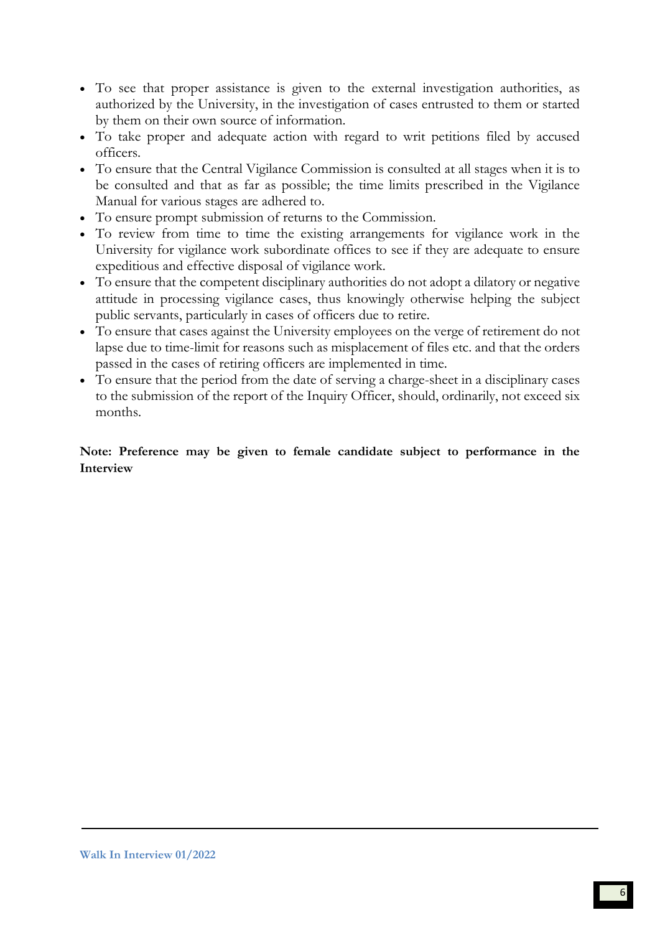- To see that proper assistance is given to the external investigation authorities, as authorized by the University, in the investigation of cases entrusted to them or started by them on their own source of information.
- To take proper and adequate action with regard to writ petitions filed by accused officers.
- To ensure that the Central Vigilance Commission is consulted at all stages when it is to be consulted and that as far as possible; the time limits prescribed in the Vigilance Manual for various stages are adhered to.
- To ensure prompt submission of returns to the Commission.
- To review from time to time the existing arrangements for vigilance work in the University for vigilance work subordinate offices to see if they are adequate to ensure expeditious and effective disposal of vigilance work.
- To ensure that the competent disciplinary authorities do not adopt a dilatory or negative attitude in processing vigilance cases, thus knowingly otherwise helping the subject public servants, particularly in cases of officers due to retire.
- To ensure that cases against the University employees on the verge of retirement do not lapse due to time-limit for reasons such as misplacement of files etc. and that the orders passed in the cases of retiring officers are implemented in time.
- To ensure that the period from the date of serving a charge-sheet in a disciplinary cases to the submission of the report of the Inquiry Officer, should, ordinarily, not exceed six months.

**Note: Preference may be given to female candidate subject to performance in the Interview**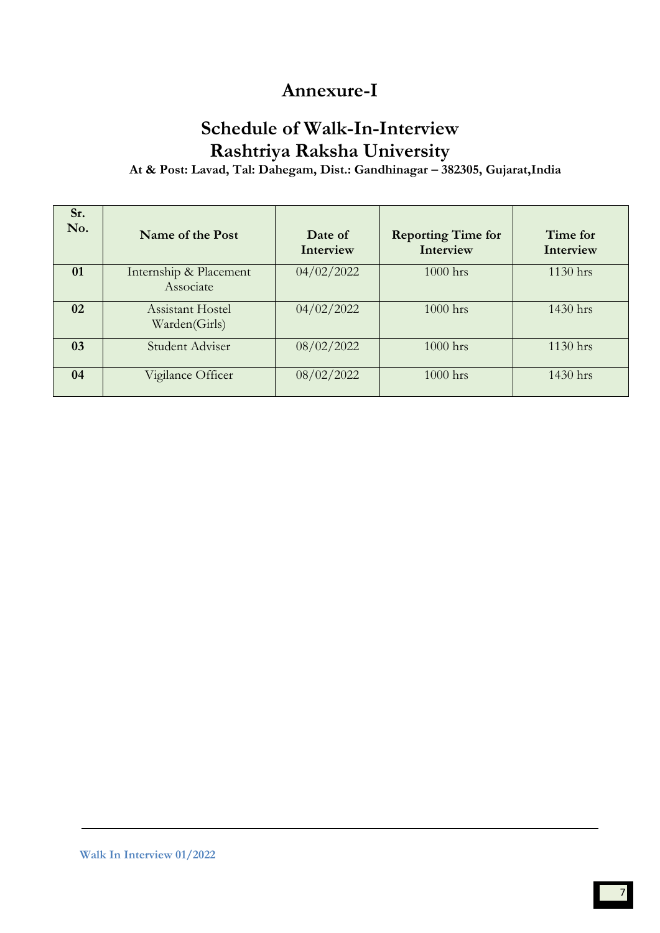# **Annexure-I**

# **Schedule of Walk-In-Interview Rashtriya Raksha University**

**At & Post: Lavad, Tal: Dahegam, Dist.: Gandhinagar – 382305, Gujarat,India**

| Sr.<br>No. | Name of the Post                         | Date of<br>Interview | <b>Reporting Time for</b><br>Interview | Time for<br>Interview |
|------------|------------------------------------------|----------------------|----------------------------------------|-----------------------|
| 01         | Internship & Placement<br>Associate      | 04/02/2022           | 1000 hrs                               | 1130 hrs              |
| 02         | <b>Assistant Hostel</b><br>Warden(Girls) | 04/02/2022           | $1000$ hrs                             | 1430 hrs              |
| 03         | Student Adviser                          | 08/02/2022           | $1000$ hrs                             | $1130$ hrs            |
| 04         | Vigilance Officer                        | 08/02/2022           | 1000 hrs                               | 1430 hrs              |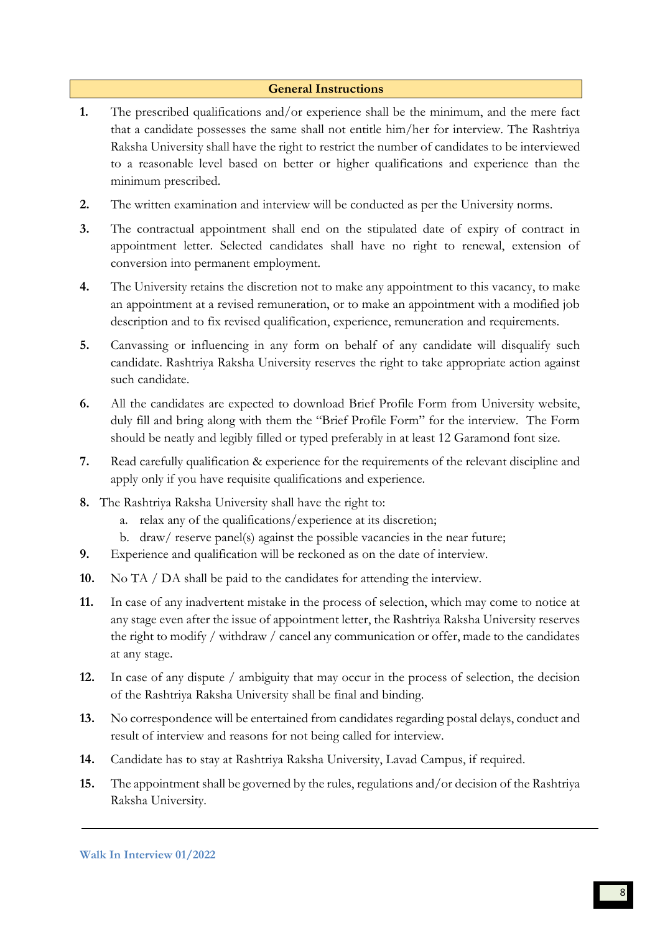### **General Instructions**

- **1.** The prescribed qualifications and/or experience shall be the minimum, and the mere fact that a candidate possesses the same shall not entitle him/her for interview. The Rashtriya Raksha University shall have the right to restrict the number of candidates to be interviewed to a reasonable level based on better or higher qualifications and experience than the minimum prescribed.
- **2.** The written examination and interview will be conducted as per the University norms.
- **3.** The contractual appointment shall end on the stipulated date of expiry of contract in appointment letter. Selected candidates shall have no right to renewal, extension of conversion into permanent employment.
- **4.** The University retains the discretion not to make any appointment to this vacancy, to make an appointment at a revised remuneration, or to make an appointment with a modified job description and to fix revised qualification, experience, remuneration and requirements.
- **5.** Canvassing or influencing in any form on behalf of any candidate will disqualify such candidate. Rashtriya Raksha University reserves the right to take appropriate action against such candidate.
- **6.** All the candidates are expected to download Brief Profile Form from University website, duly fill and bring along with them the "Brief Profile Form" for the interview. The Form should be neatly and legibly filled or typed preferably in at least 12 Garamond font size.
- **7.** Read carefully qualification & experience for the requirements of the relevant discipline and apply only if you have requisite qualifications and experience.
- **8.** The Rashtriya Raksha University shall have the right to:
	- a. relax any of the qualifications/experience at its discretion;
	- b. draw/ reserve panel(s) against the possible vacancies in the near future;
- **9.** Experience and qualification will be reckoned as on the date of interview.
- **10.** No TA / DA shall be paid to the candidates for attending the interview.
- **11.** In case of any inadvertent mistake in the process of selection, which may come to notice at any stage even after the issue of appointment letter, the Rashtriya Raksha University reserves the right to modify / withdraw / cancel any communication or offer, made to the candidates at any stage.
- **12.** In case of any dispute / ambiguity that may occur in the process of selection, the decision of the Rashtriya Raksha University shall be final and binding.
- **13.** No correspondence will be entertained from candidates regarding postal delays, conduct and result of interview and reasons for not being called for interview.
- **14.** Candidate has to stay at Rashtriya Raksha University, Lavad Campus, if required.
- **15.** The appointment shall be governed by the rules, regulations and/or decision of the Rashtriya Raksha University.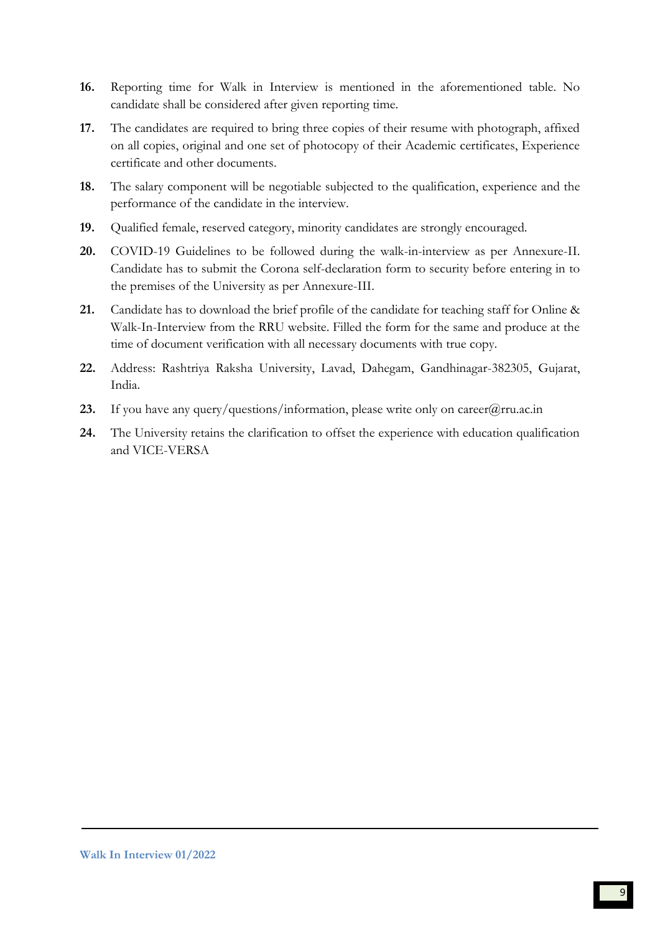- **16.** Reporting time for Walk in Interview is mentioned in the aforementioned table. No candidate shall be considered after given reporting time.
- **17.** The candidates are required to bring three copies of their resume with photograph, affixed on all copies, original and one set of photocopy of their Academic certificates, Experience certificate and other documents.
- **18.** The salary component will be negotiable subjected to the qualification, experience and the performance of the candidate in the interview.
- **19.** Qualified female, reserved category, minority candidates are strongly encouraged.
- **20.** COVID-19 Guidelines to be followed during the walk-in-interview as per Annexure-II. Candidate has to submit the Corona self-declaration form to security before entering in to the premises of the University as per Annexure-III.
- **21.** Candidate has to download the brief profile of the candidate for teaching staff for Online & Walk-In-Interview from the RRU website. Filled the form for the same and produce at the time of document verification with all necessary documents with true copy.
- **22.** Address: Rashtriya Raksha University, Lavad, Dahegam, Gandhinagar-382305, Gujarat, India.
- 23. If you have any query/questions/information, please write only on career@rru.ac.in
- **24.** The University retains the clarification to offset the experience with education qualification and VICE-VERSA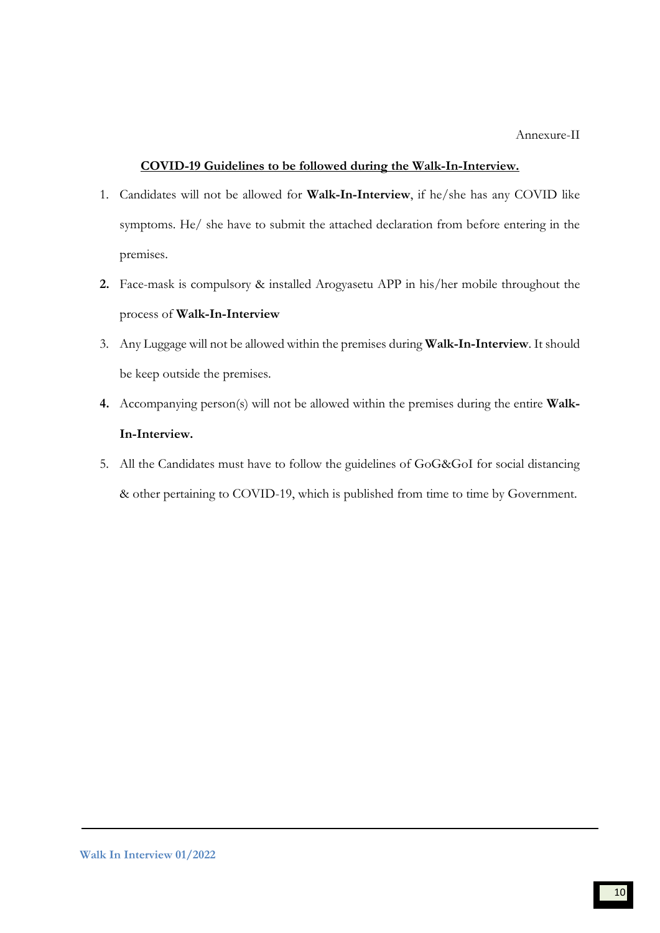#### **COVID-19 Guidelines to be followed during the Walk-In-Interview.**

- 1. Candidates will not be allowed for **Walk-In-Interview**, if he/she has any COVID like symptoms. He/ she have to submit the attached declaration from before entering in the premises.
- **2.** Face-mask is compulsory & installed Arogyasetu APP in his/her mobile throughout the process of **Walk-In-Interview**
- 3. Any Luggage will not be allowed within the premises during **Walk-In-Interview**. It should be keep outside the premises.
- **4.** Accompanying person(s) will not be allowed within the premises during the entire **Walk-In-Interview.**
- 5. All the Candidates must have to follow the guidelines of GoG&GoI for social distancing & other pertaining to COVID-19, which is published from time to time by Government.